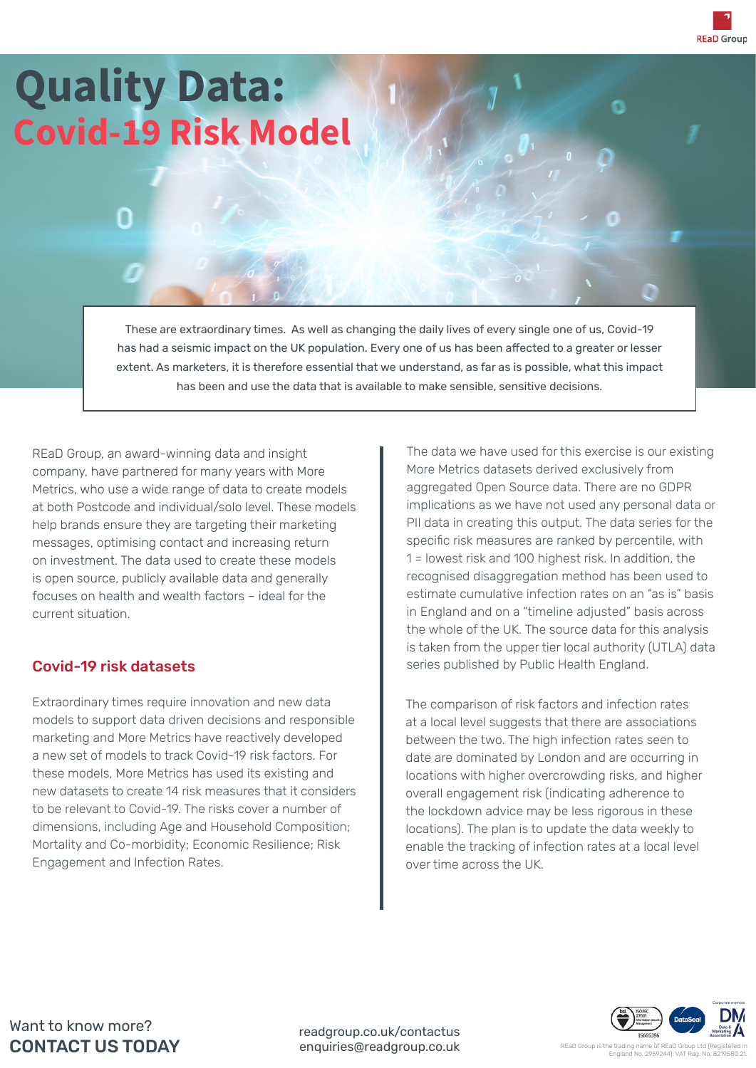**REaD Group** 

# **Quality Data: Covid-19 Risk Model**

These are extraordinary times. As well as changing the daily lives of every single one of us, Covid-19 has had a seismic impact on the UK population. Every one of us has been affected to a greater or lesser extent. As marketers, it is therefore essential that we understand, as far as is possible, what this impact has been and use the data that is available to make sensible, sensitive decisions.

REaD Group, an award-winning data and insight company, have partnered for many years with More Metrics, who use a wide range of data to create models at both Postcode and individual/solo level. These models help brands ensure they are targeting their marketing messages, optimising contact and increasing return on investment. The data used to create these models is open source, publicly available data and generally focuses on health and wealth factors – ideal for the current situation.

### Covid-19 risk datasets

Extraordinary times require innovation and new data models to support data driven decisions and responsible marketing and More Metrics have reactively developed a new set of models to track Covid-19 risk factors. For these models, More Metrics has used its existing and new datasets to create 14 risk measures that it considers to be relevant to Covid-19. The risks cover a number of dimensions, including Age and Household Composition; Mortality and Co-morbidity; Economic Resilience; Risk Engagement and Infection Rates.

The data we have used for this exercise is our existing More Metrics datasets derived exclusively from aggregated Open Source data. There are no GDPR implications as we have not used any personal data or PII data in creating this output. The data series for the specific risk measures are ranked by percentile, with 1 = lowest risk and 100 highest risk. In addition, the recognised disaggregation method has been used to estimate cumulative infection rates on an "as is" basis in England and on a "timeline adjusted" basis across the whole of the UK. The source data for this analysis is taken from the upper tier local authority (UTLA) data series published by Public Health England.

The comparison of risk factors and infection rates at a local level suggests that there are associations between the two. The high infection rates seen to date are dominated by London and are occurring in locations with higher overcrowding risks, and higher overall engagement risk (indicating adherence to the lockdown advice may be less rigorous in these locations). The plan is to update the data weekly to enable the tracking of infection rates at a local level over time across the UK.



Want to know more? CONTACT US TODAY

readgroup.co.uk/contactus enquiries@readgroup.co.uk

REaD Group is the t England No. 2959244). VAT Reg. No. 8219580 21.